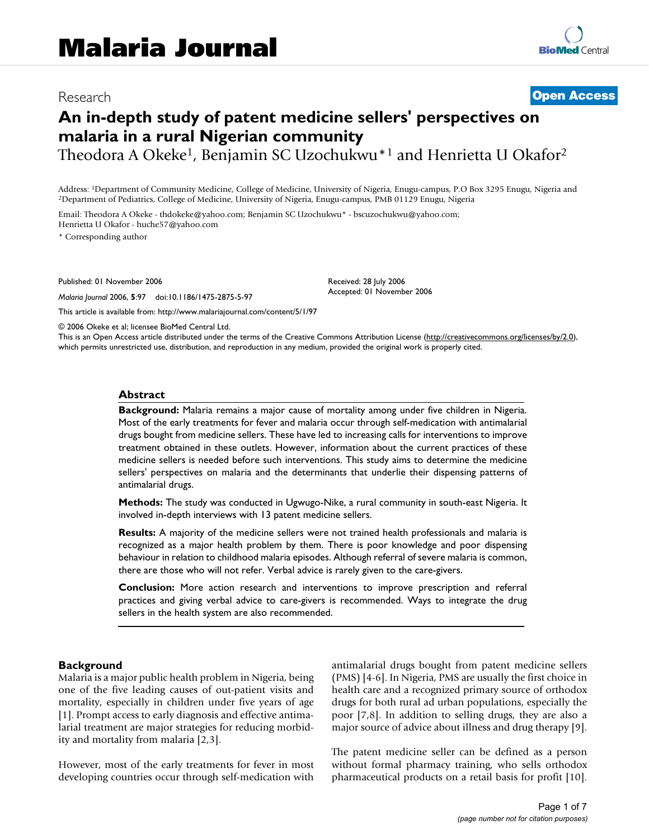# Research **[Open Access](http://www.biomedcentral.com/info/about/charter/)**

# **An in-depth study of patent medicine sellers' perspectives on malaria in a rural Nigerian community**

Theodora A Okeke<sup>1</sup>, Benjamin SC Uzochukwu<sup>\*1</sup> and Henrietta U Okafor<sup>2</sup>

Address: <sup>1</sup>Department of Community Medicine, College of Medicine, University of Nigeria, Enugu-campus, P.O Box 3295 Enugu, Nigeria and <sup>2</sup>Department of Pediatrics, College of Medicine, University of Nigeria, Enugu-campus,

Email: Theodora A Okeke - thdokeke@yahoo.com; Benjamin SC Uzochukwu\* - bscuzochukwu@yahoo.com; Henrietta U Okafor - huche57@yahoo.com

\* Corresponding author

Published: 01 November 2006

*Malaria Journal* 2006, **5**:97 doi:10.1186/1475-2875-5-97

[This article is available from: http://www.malariajournal.com/content/5/1/97](http://www.malariajournal.com/content/5/1/97)

© 2006 Okeke et al; licensee BioMed Central Ltd.

This is an Open Access article distributed under the terms of the Creative Commons Attribution License [\(http://creativecommons.org/licenses/by/2.0\)](http://creativecommons.org/licenses/by/2.0), which permits unrestricted use, distribution, and reproduction in any medium, provided the original work is properly cited.

Received: 28 July 2006 Accepted: 01 November 2006

#### **Abstract**

**Background:** Malaria remains a major cause of mortality among under five children in Nigeria. Most of the early treatments for fever and malaria occur through self-medication with antimalarial drugs bought from medicine sellers. These have led to increasing calls for interventions to improve treatment obtained in these outlets. However, information about the current practices of these medicine sellers is needed before such interventions. This study aims to determine the medicine sellers' perspectives on malaria and the determinants that underlie their dispensing patterns of antimalarial drugs.

**Methods:** The study was conducted in Ugwugo-Nike, a rural community in south-east Nigeria. It involved in-depth interviews with 13 patent medicine sellers.

**Results:** A majority of the medicine sellers were not trained health professionals and malaria is recognized as a major health problem by them. There is poor knowledge and poor dispensing behaviour in relation to childhood malaria episodes. Although referral of severe malaria is common, there are those who will not refer. Verbal advice is rarely given to the care-givers.

**Conclusion:** More action research and interventions to improve prescription and referral practices and giving verbal advice to care-givers is recommended. Ways to integrate the drug sellers in the health system are also recommended.

#### **Background**

Malaria is a major public health problem in Nigeria, being one of the five leading causes of out-patient visits and mortality, especially in children under five years of age [1]. Prompt access to early diagnosis and effective antimalarial treatment are major strategies for reducing morbidity and mortality from malaria [2,3].

However, most of the early treatments for fever in most developing countries occur through self-medication with antimalarial drugs bought from patent medicine sellers (PMS) [4-6]. In Nigeria, PMS are usually the first choice in health care and a recognized primary source of orthodox drugs for both rural ad urban populations, especially the poor [7,8]. In addition to selling drugs, they are also a major source of advice about illness and drug therapy [9].

The patent medicine seller can be defined as a person without formal pharmacy training, who sells orthodox pharmaceutical products on a retail basis for profit [10].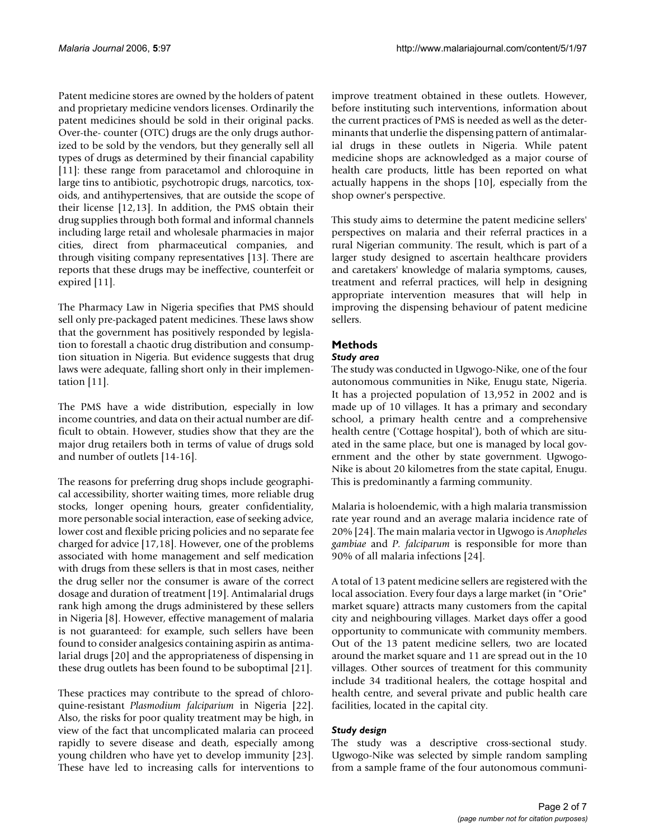Patent medicine stores are owned by the holders of patent and proprietary medicine vendors licenses. Ordinarily the patent medicines should be sold in their original packs. Over-the- counter (OTC) drugs are the only drugs authorized to be sold by the vendors, but they generally sell all types of drugs as determined by their financial capability [11]: these range from paracetamol and chloroquine in large tins to antibiotic, psychotropic drugs, narcotics, toxoids, and antihypertensives, that are outside the scope of their license [12,13]. In addition, the PMS obtain their drug supplies through both formal and informal channels including large retail and wholesale pharmacies in major cities, direct from pharmaceutical companies, and through visiting company representatives [13]. There are reports that these drugs may be ineffective, counterfeit or expired [11].

The Pharmacy Law in Nigeria specifies that PMS should sell only pre-packaged patent medicines. These laws show that the government has positively responded by legislation to forestall a chaotic drug distribution and consumption situation in Nigeria. But evidence suggests that drug laws were adequate, falling short only in their implementation [11].

The PMS have a wide distribution, especially in low income countries, and data on their actual number are difficult to obtain. However, studies show that they are the major drug retailers both in terms of value of drugs sold and number of outlets [14-16].

The reasons for preferring drug shops include geographical accessibility, shorter waiting times, more reliable drug stocks, longer opening hours, greater confidentiality, more personable social interaction, ease of seeking advice, lower cost and flexible pricing policies and no separate fee charged for advice [17,18]. However, one of the problems associated with home management and self medication with drugs from these sellers is that in most cases, neither the drug seller nor the consumer is aware of the correct dosage and duration of treatment [19]. Antimalarial drugs rank high among the drugs administered by these sellers in Nigeria [8]. However, effective management of malaria is not guaranteed: for example, such sellers have been found to consider analgesics containing aspirin as antimalarial drugs [20] and the appropriateness of dispensing in these drug outlets has been found to be suboptimal [21].

These practices may contribute to the spread of chloroquine-resistant *Plasmodium falciparium* in Nigeria [22]. Also, the risks for poor quality treatment may be high, in view of the fact that uncomplicated malaria can proceed rapidly to severe disease and death, especially among young children who have yet to develop immunity [23]. These have led to increasing calls for interventions to

improve treatment obtained in these outlets. However, before instituting such interventions, information about the current practices of PMS is needed as well as the determinants that underlie the dispensing pattern of antimalarial drugs in these outlets in Nigeria. While patent medicine shops are acknowledged as a major course of health care products, little has been reported on what actually happens in the shops [10], especially from the shop owner's perspective.

This study aims to determine the patent medicine sellers' perspectives on malaria and their referral practices in a rural Nigerian community. The result, which is part of a larger study designed to ascertain healthcare providers and caretakers' knowledge of malaria symptoms, causes, treatment and referral practices, will help in designing appropriate intervention measures that will help in improving the dispensing behaviour of patent medicine sellers.

# **Methods**

#### *Study area*

The study was conducted in Ugwogo-Nike, one of the four autonomous communities in Nike, Enugu state, Nigeria. It has a projected population of 13,952 in 2002 and is made up of 10 villages. It has a primary and secondary school, a primary health centre and a comprehensive health centre ('Cottage hospital'), both of which are situated in the same place, but one is managed by local government and the other by state government. Ugwogo-Nike is about 20 kilometres from the state capital, Enugu. This is predominantly a farming community.

Malaria is holoendemic, with a high malaria transmission rate year round and an average malaria incidence rate of 20% [24]. The main malaria vector in Ugwogo is *Anopheles gambiae* and *P. falciparum* is responsible for more than 90% of all malaria infections [24].

A total of 13 patent medicine sellers are registered with the local association. Every four days a large market (in "Orie" market square) attracts many customers from the capital city and neighbouring villages. Market days offer a good opportunity to communicate with community members. Out of the 13 patent medicine sellers, two are located around the market square and 11 are spread out in the 10 villages. Other sources of treatment for this community include 34 traditional healers, the cottage hospital and health centre, and several private and public health care facilities, located in the capital city.

# *Study design*

The study was a descriptive cross-sectional study. Ugwogo-Nike was selected by simple random sampling from a sample frame of the four autonomous communi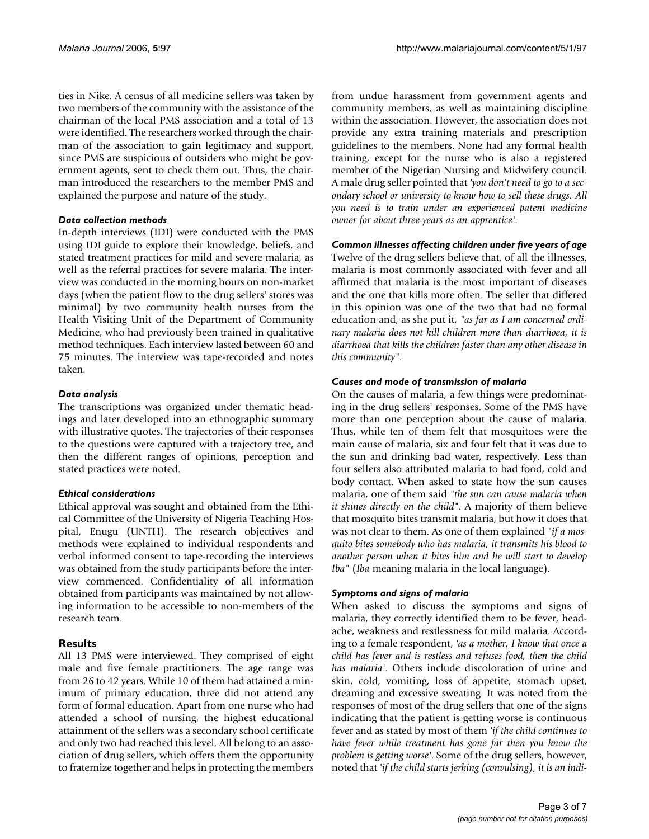ties in Nike. A census of all medicine sellers was taken by two members of the community with the assistance of the chairman of the local PMS association and a total of 13 were identified. The researchers worked through the chairman of the association to gain legitimacy and support, since PMS are suspicious of outsiders who might be government agents, sent to check them out. Thus, the chairman introduced the researchers to the member PMS and explained the purpose and nature of the study.

#### *Data collection methods*

In-depth interviews (IDI) were conducted with the PMS using IDI guide to explore their knowledge, beliefs, and stated treatment practices for mild and severe malaria, as well as the referral practices for severe malaria. The interview was conducted in the morning hours on non-market days (when the patient flow to the drug sellers' stores was minimal) by two community health nurses from the Health Visiting Unit of the Department of Community Medicine, who had previously been trained in qualitative method techniques. Each interview lasted between 60 and 75 minutes. The interview was tape-recorded and notes taken.

#### *Data analysis*

The transcriptions was organized under thematic headings and later developed into an ethnographic summary with illustrative quotes. The trajectories of their responses to the questions were captured with a trajectory tree, and then the different ranges of opinions, perception and stated practices were noted.

# *Ethical considerations*

Ethical approval was sought and obtained from the Ethical Committee of the University of Nigeria Teaching Hospital, Enugu (UNTH). The research objectives and methods were explained to individual respondents and verbal informed consent to tape-recording the interviews was obtained from the study participants before the interview commenced. Confidentiality of all information obtained from participants was maintained by not allowing information to be accessible to non-members of the research team.

# **Results**

All 13 PMS were interviewed. They comprised of eight male and five female practitioners. The age range was from 26 to 42 years. While 10 of them had attained a minimum of primary education, three did not attend any form of formal education. Apart from one nurse who had attended a school of nursing, the highest educational attainment of the sellers was a secondary school certificate and only two had reached this level. All belong to an association of drug sellers, which offers them the opportunity to fraternize together and helps in protecting the members from undue harassment from government agents and community members, as well as maintaining discipline within the association. However, the association does not provide any extra training materials and prescription guidelines to the members. None had any formal health training, except for the nurse who is also a registered member of the Nigerian Nursing and Midwifery council. A male drug seller pointed that *'you don't need to go to a secondary school or university to know how to sell these drugs. All you need is to train under an experienced patent medicine owner for about three years as an apprentice'*.

# *Common illnesses affecting children under five years of age*

Twelve of the drug sellers believe that, of all the illnesses, malaria is most commonly associated with fever and all affirmed that malaria is the most important of diseases and the one that kills more often. The seller that differed in this opinion was one of the two that had no formal education and, as she put it, *"as far as I am concerned ordinary malaria does not kill children more than diarrhoea, it is diarrhoea that kills the children faster than any other disease in this community"*.

# *Causes and mode of transmission of malaria*

On the causes of malaria, a few things were predominating in the drug sellers' responses. Some of the PMS have more than one perception about the cause of malaria. Thus, while ten of them felt that mosquitoes were the main cause of malaria, six and four felt that it was due to the sun and drinking bad water, respectively. Less than four sellers also attributed malaria to bad food, cold and body contact. When asked to state how the sun causes malaria, one of them said *"the sun can cause malaria when it shines directly on the child"*. A majority of them believe that mosquito bites transmit malaria, but how it does that was not clear to them. As one of them explained *"if a mosquito bites somebody who has malaria, it transmits his blood to another person when it bites him and he will start to develop Iba"* (*Iba* meaning malaria in the local language).

# *Symptoms and signs of malaria*

When asked to discuss the symptoms and signs of malaria, they correctly identified them to be fever, headache, weakness and restlessness for mild malaria. According to a female respondent, *'as a mother, I know that once a child has fever and is restless and refuses food, then the child has malaria'*. Others include discoloration of urine and skin, cold, vomiting, loss of appetite, stomach upset, dreaming and excessive sweating. It was noted from the responses of most of the drug sellers that one of the signs indicating that the patient is getting worse is continuous fever and as stated by most of them *'if the child continues to have fever while treatment has gone far then you know the problem is getting worse'*. Some of the drug sellers, however, noted that *'if the child starts jerking (convulsing), it is an indi-*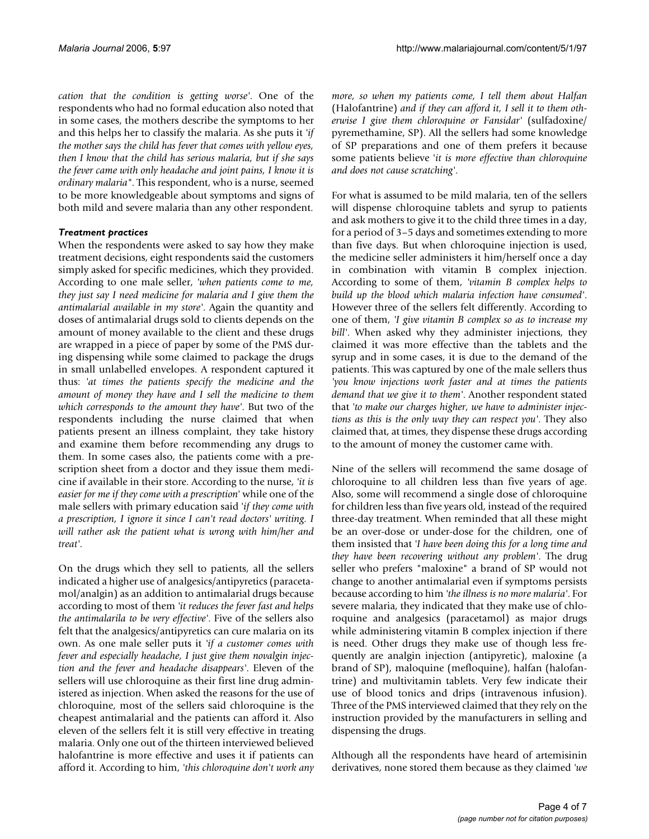*cation that the condition is getting worse'*. One of the respondents who had no formal education also noted that in some cases, the mothers describe the symptoms to her and this helps her to classify the malaria. As she puts it *'if the mother says the child has fever that comes with yellow eyes, then I know that the child has serious malaria, but if she says the fever came with only headache and joint pains, I know it is ordinary malaria"*. This respondent, who is a nurse, seemed to be more knowledgeable about symptoms and signs of both mild and severe malaria than any other respondent.

# *Treatment practices*

When the respondents were asked to say how they make treatment decisions, eight respondents said the customers simply asked for specific medicines, which they provided. According to one male seller, *'when patients come to me, they just say I need medicine for malaria and I give them the antimalarial available in my store'*. Again the quantity and doses of antimalarial drugs sold to clients depends on the amount of money available to the client and these drugs are wrapped in a piece of paper by some of the PMS during dispensing while some claimed to package the drugs in small unlabelled envelopes. A respondent captured it thus: *'at times the patients specify the medicine and the amount of money they have and I sell the medicine to them which corresponds to the amount they have'*. But two of the respondents including the nurse claimed that when patients present an illness complaint, they take history and examine them before recommending any drugs to them. In some cases also, the patients come with a prescription sheet from a doctor and they issue them medicine if available in their store. According to the nurse, *'it is easier for me if they come with a prescription*' while one of the male sellers with primary education said '*if they come with a prescription, I ignore it since I can't read doctors' writing. I will rather ask the patient what is wrong with him/her and treat'*.

On the drugs which they sell to patients, all the sellers indicated a higher use of analgesics/antipyretics (paracetamol/analgin) as an addition to antimalarial drugs because according to most of them *'it reduces the fever fast and helps the antimalarila to be very effective'*. Five of the sellers also felt that the analgesics/antipyretics can cure malaria on its own. As one male seller puts it *'if a customer comes with fever and especially headache, I just give them novalgin injection and the fever and headache disappears'*. Eleven of the sellers will use chloroquine as their first line drug administered as injection. When asked the reasons for the use of chloroquine, most of the sellers said chloroquine is the cheapest antimalarial and the patients can afford it. Also eleven of the sellers felt it is still very effective in treating malaria. Only one out of the thirteen interviewed believed halofantrine is more effective and uses it if patients can afford it. According to him, *'this chloroquine don't work any* *more, so when my patients come, I tell them about Halfan* (Halofantrine) *and if they can afford it, I sell it to them otherwise I give them chloroquine or Fansidar'* (sulfadoxine/ pyremethamine, SP). All the sellers had some knowledge of SP preparations and one of them prefers it because some patients believe '*it is more effective than chloroquine and does not cause scratching'*.

For what is assumed to be mild malaria, ten of the sellers will dispense chloroquine tablets and syrup to patients and ask mothers to give it to the child three times in a day, for a period of 3–5 days and sometimes extending to more than five days. But when chloroquine injection is used, the medicine seller administers it him/herself once a day in combination with vitamin B complex injection. According to some of them, *'vitamin B complex helps to build up the blood which malaria infection have consumed'*. However three of the sellers felt differently. According to one of them, *'I give vitamin B complex so as to increase my bill'*. When asked why they administer injections, they claimed it was more effective than the tablets and the syrup and in some cases, it is due to the demand of the patients. This was captured by one of the male sellers thus *'you know injections work faster and at times the patients demand that we give it to them'*. Another respondent stated that *'to make our charges higher, we have to administer injections as this is the only way they can respect you'*. They also claimed that, at times, they dispense these drugs according to the amount of money the customer came with.

Nine of the sellers will recommend the same dosage of chloroquine to all children less than five years of age. Also, some will recommend a single dose of chloroquine for children less than five years old, instead of the required three-day treatment. When reminded that all these might be an over-dose or under-dose for the children, one of them insisted that *'I have been doing this for a long time and they have been recovering without any problem'*. The drug seller who prefers "maloxine" a brand of SP would not change to another antimalarial even if symptoms persists because according to him *'the illness is no more malaria'*. For severe malaria, they indicated that they make use of chloroquine and analgesics (paracetamol) as major drugs while administering vitamin B complex injection if there is need. Other drugs they make use of though less frequently are analgin injection (antipyretic), maloxine (a brand of SP), maloquine (mefloquine), halfan (halofantrine) and multivitamin tablets. Very few indicate their use of blood tonics and drips (intravenous infusion). Three of the PMS interviewed claimed that they rely on the instruction provided by the manufacturers in selling and dispensing the drugs.

Although all the respondents have heard of artemisinin derivatives, none stored them because as they claimed *'we*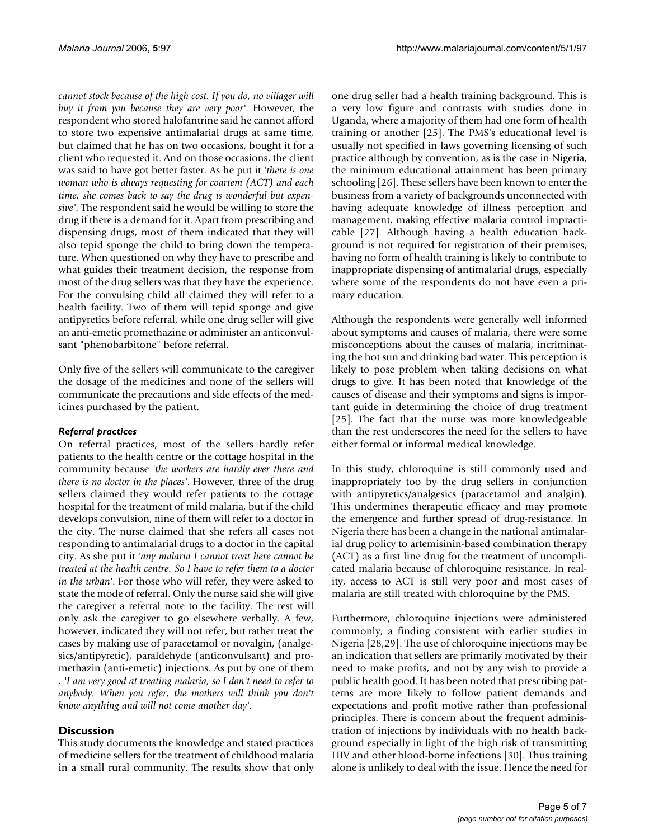*cannot stock because of the high cost. If you do, no villager will buy it from you because they are very poor'*. However, the respondent who stored halofantrine said he cannot afford to store two expensive antimalarial drugs at same time, but claimed that he has on two occasions, bought it for a client who requested it. And on those occasions, the client was said to have got better faster. As he put it *'there is one woman who is always requesting for coartem (ACT) and each time, she comes back to say the drug is wonderful but expensive'*. The respondent said he would be willing to store the drug if there is a demand for it. Apart from prescribing and dispensing drugs, most of them indicated that they will also tepid sponge the child to bring down the temperature. When questioned on why they have to prescribe and what guides their treatment decision, the response from most of the drug sellers was that they have the experience. For the convulsing child all claimed they will refer to a health facility. Two of them will tepid sponge and give antipyretics before referral, while one drug seller will give an anti-emetic promethazine or administer an anticonvulsant "phenobarbitone" before referral.

Only five of the sellers will communicate to the caregiver the dosage of the medicines and none of the sellers will communicate the precautions and side effects of the medicines purchased by the patient.

# *Referral practices*

On referral practices, most of the sellers hardly refer patients to the health centre or the cottage hospital in the community because *'the workers are hardly ever there and there is no doctor in the places'*. However, three of the drug sellers claimed they would refer patients to the cottage hospital for the treatment of mild malaria, but if the child develops convulsion, nine of them will refer to a doctor in the city. The nurse claimed that she refers all cases not responding to antimalarial drugs to a doctor in the capital city. As she put it *'any malaria I cannot treat here cannot be treated at the health centre. So I have to refer them to a doctor in the urban'*. For those who will refer, they were asked to state the mode of referral. Only the nurse said she will give the caregiver a referral note to the facility. The rest will only ask the caregiver to go elsewhere verbally. A few, however, indicated they will not refer, but rather treat the cases by making use of paracetamol or novalgin, (analgesics/antipyretic), paraldehyde (anticonvulsant) and promethazin (anti-emetic) injections. As put by one of them *, 'I am very good at treating malaria, so I don't need to refer to anybody. When you refer, the mothers will think you don't know anything and will not come another day'*.

# **Discussion**

This study documents the knowledge and stated practices of medicine sellers for the treatment of childhood malaria in a small rural community. The results show that only one drug seller had a health training background. This is a very low figure and contrasts with studies done in Uganda, where a majority of them had one form of health training or another [25]. The PMS's educational level is usually not specified in laws governing licensing of such practice although by convention, as is the case in Nigeria, the minimum educational attainment has been primary schooling [26]. These sellers have been known to enter the business from a variety of backgrounds unconnected with having adequate knowledge of illness perception and management, making effective malaria control impracticable [27]. Although having a health education background is not required for registration of their premises, having no form of health training is likely to contribute to inappropriate dispensing of antimalarial drugs, especially where some of the respondents do not have even a primary education.

Although the respondents were generally well informed about symptoms and causes of malaria, there were some misconceptions about the causes of malaria, incriminating the hot sun and drinking bad water. This perception is likely to pose problem when taking decisions on what drugs to give. It has been noted that knowledge of the causes of disease and their symptoms and signs is important guide in determining the choice of drug treatment [25]. The fact that the nurse was more knowledgeable than the rest underscores the need for the sellers to have either formal or informal medical knowledge.

In this study, chloroquine is still commonly used and inappropriately too by the drug sellers in conjunction with antipyretics/analgesics (paracetamol and analgin). This undermines therapeutic efficacy and may promote the emergence and further spread of drug-resistance. In Nigeria there has been a change in the national antimalarial drug policy to artemisinin-based combination therapy (ACT) as a first line drug for the treatment of uncomplicated malaria because of chloroquine resistance. In reality, access to ACT is still very poor and most cases of malaria are still treated with chloroquine by the PMS.

Furthermore, chloroquine injections were administered commonly, a finding consistent with earlier studies in Nigeria [28,[29\]](#page-6-0). The use of chloroquine injections may be an indication that sellers are primarily motivated by their need to make profits, and not by any wish to provide a public health good. It has been noted that prescribing patterns are more likely to follow patient demands and expectations and profit motive rather than professional principles. There is concern about the frequent administration of injections by individuals with no health background especially in light of the high risk of transmitting HIV and other blood-borne infections [30]. Thus training alone is unlikely to deal with the issue. Hence the need for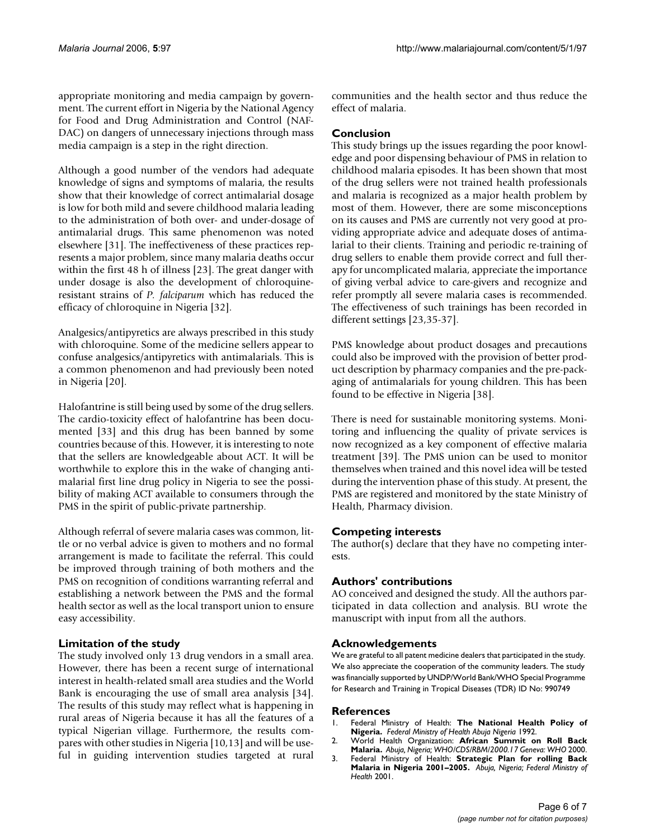appropriate monitoring and media campaign by government. The current effort in Nigeria by the National Agency for Food and Drug Administration and Control (NAF-DAC) on dangers of unnecessary injections through mass media campaign is a step in the right direction.

Although a good number of the vendors had adequate knowledge of signs and symptoms of malaria, the results show that their knowledge of correct antimalarial dosage is low for both mild and severe childhood malaria leading to the administration of both over- and under-dosage of antimalarial drugs. This same phenomenon was noted elsewhere [31]. The ineffectiveness of these practices represents a major problem, since many malaria deaths occur within the first 48 h of illness [23]. The great danger with under dosage is also the development of chloroquineresistant strains of *P. falciparum* which has reduced the efficacy of chloroquine in Nigeria [32].

Analgesics/antipyretics are always prescribed in this study with chloroquine. Some of the medicine sellers appear to confuse analgesics/antipyretics with antimalarials. This is a common phenomenon and had previously been noted in Nigeria [20].

Halofantrine is still being used by some of the drug sellers. The cardio-toxicity effect of halofantrine has been documented [33] and this drug has been banned by some countries because of this. However, it is interesting to note that the sellers are knowledgeable about ACT. It will be worthwhile to explore this in the wake of changing antimalarial first line drug policy in Nigeria to see the possibility of making ACT available to consumers through the PMS in the spirit of public-private partnership.

Although referral of severe malaria cases was common, little or no verbal advice is given to mothers and no formal arrangement is made to facilitate the referral. This could be improved through training of both mothers and the PMS on recognition of conditions warranting referral and establishing a network between the PMS and the formal health sector as well as the local transport union to ensure easy accessibility.

# **Limitation of the study**

The study involved only 13 drug vendors in a small area. However, there has been a recent surge of international interest in health-related small area studies and the World Bank is encouraging the use of small area analysis [34]. The results of this study may reflect what is happening in rural areas of Nigeria because it has all the features of a typical Nigerian village. Furthermore, the results compares with other studies in Nigeria [10,13] and will be useful in guiding intervention studies targeted at rural communities and the health sector and thus reduce the effect of malaria.

# **Conclusion**

This study brings up the issues regarding the poor knowledge and poor dispensing behaviour of PMS in relation to childhood malaria episodes. It has been shown that most of the drug sellers were not trained health professionals and malaria is recognized as a major health problem by most of them. However, there are some misconceptions on its causes and PMS are currently not very good at providing appropriate advice and adequate doses of antimalarial to their clients. Training and periodic re-training of drug sellers to enable them provide correct and full therapy for uncomplicated malaria, appreciate the importance of giving verbal advice to care-givers and recognize and refer promptly all severe malaria cases is recommended. The effectiveness of such trainings has been recorded in different settings [23,35-37].

PMS knowledge about product dosages and precautions could also be improved with the provision of better product description by pharmacy companies and the pre-packaging of antimalarials for young children. This has been found to be effective in Nigeria [38].

There is need for sustainable monitoring systems. Monitoring and influencing the quality of private services is now recognized as a key component of effective malaria treatment [39]. The PMS union can be used to monitor themselves when trained and this novel idea will be tested during the intervention phase of this study. At present, the PMS are registered and monitored by the state Ministry of Health, Pharmacy division.

# **Competing interests**

The author(s) declare that they have no competing interests.

# **Authors' contributions**

AO conceived and designed the study. All the authors participated in data collection and analysis. BU wrote the manuscript with input from all the authors.

# **Acknowledgements**

We are grateful to all patent medicine dealers that participated in the study. We also appreciate the cooperation of the community leaders. The study was financially supported by UNDP/World Bank/WHO Special Programme for Research and Training in Tropical Diseases (TDR) ID No: 990749

#### **References**

- 1. Federal Ministry of Health: **The National Health Policy of Nigeria.** *Federal Ministry of Health Abuja Nigeria* 1992.
- 2. World Health Organization: **African Summit on Roll Back Malaria.** *Abuja, Nigeria; WHO/CDS/RBM/2000.17 Geneva: WHO* 2000.
- 3. Federal Ministry of Health: **Strategic Plan for rolling Back Malaria in Nigeria 2001–2005.** *Abuja, Nigeria; Federal Ministry of Health* 2001.